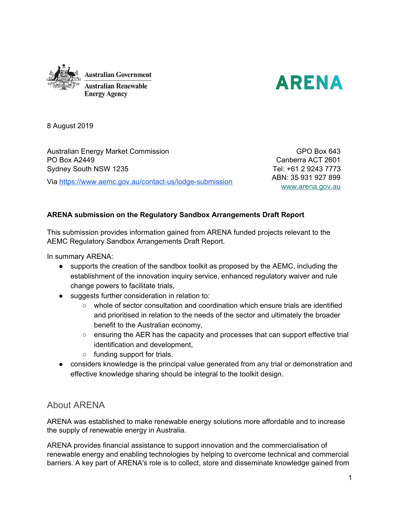



8 August 2019

Australian Energy Market Commission PO Box A2449 Sydney South NSW 1235 Via <https://www.aemc.gov.au/contact-us/lodge-submission>

GPO Box 643 Canberra ACT 2601 Tel: +61 2 9243 7773 ABN: 35 931 927 899 [www.arena.gov.au](http://www.arena.gov.au/)

#### **ARENA submission on the Regulatory Sandbox Arrangements Draft Report**

This submission provides information gained from ARENA funded projects relevant to the AEMC Regulatory Sandbox Arrangements Draft Report.

In summary ARENA:

- supports the creation of the sandbox toolkit as proposed by the AEMC, including the establishment of the innovation inquiry service, enhanced regulatory waiver and rule change powers to facilitate trials,
- suggests further consideration in relation to:
	- whole of sector consultation and coordination which ensure trials are identified and prioritised in relation to the needs of the sector and ultimately the broader benefit to the Australian economy,
	- $\circ$  ensuring the AER has the capacity and processes that can support effective trial identification and development,
	- funding support for trials.
- considers knowledge is the principal value generated from any trial or demonstration and effective knowledge sharing should be integral to the toolkit design.

## About ARENA

ARENA was established to make renewable energy solutions more affordable and to increase the supply of renewable energy in Australia.

ARENA provides financial assistance to support innovation and the commercialisation of renewable energy and enabling technologies by helping to overcome technical and commercial barriers. A key part of ARENA's role is to collect, store and disseminate knowledge gained from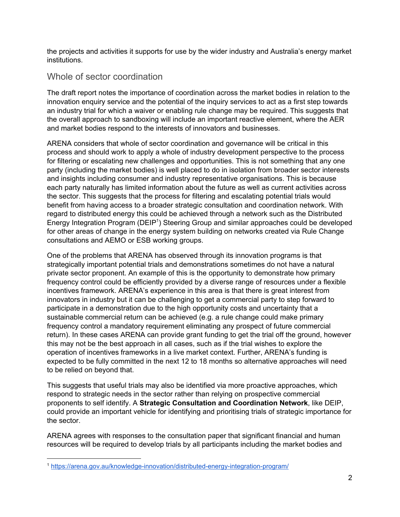the projects and activities it supports for use by the wider industry and Australia's energy market institutions.

## Whole of sector coordination

The draft report notes the importance of coordination across the market bodies in relation to the innovation enquiry service and the potential of the inquiry services to act as a first step towards an industry trial for which a waiver or enabling rule change may be required. This suggests that the overall approach to sandboxing will include an important reactive element, where the AER and market bodies respond to the interests of innovators and businesses.

ARENA considers that whole of sector coordination and governance will be critical in this process and should work to apply a whole of industry development perspective to the process for filtering or escalating new challenges and opportunities. This is not something that any one party (including the market bodies) is well placed to do in isolation from broader sector interests and insights including consumer and industry representative organisations. This is because each party naturally has limited information about the future as well as current activities across the sector. This suggests that the process for filtering and escalating potential trials would benefit from having access to a broader strategic consultation and coordination network. With regard to distributed energy this could be achieved through a network such as the Distributed Energy Integration Program (DEIP<sup>1</sup>) Steering Group and similar approaches could be developed for other areas of change in the energy system building on networks created via Rule Change consultations and AEMO or ESB working groups.

One of the problems that ARENA has observed through its innovation programs is that strategically important potential trials and demonstrations sometimes do not have a natural private sector proponent. An example of this is the opportunity to demonstrate how primary frequency control could be efficiently provided by a diverse range of resources under a flexible incentives framework. ARENA's experience in this area is that there is great interest from innovators in industry but it can be challenging to get a commercial party to step forward to participate in a demonstration due to the high opportunity costs and uncertainty that a sustainable commercial return can be achieved (e.g. a rule change could make primary frequency control a mandatory requirement eliminating any prospect of future commercial return). In these cases ARENA can provide grant funding to get the trial off the ground, however this may not be the best approach in all cases, such as if the trial wishes to explore the operation of incentives frameworks in a live market context. Further, ARENA's funding is expected to be fully committed in the next 12 to 18 months so alternative approaches will need to be relied on beyond that.

This suggests that useful trials may also be identified via more proactive approaches, which respond to strategic needs in the sector rather than relying on prospective commercial proponents to self identify. A **Strategic Consultation and Coordination Network**, like DEIP, could provide an important vehicle for identifying and prioritising trials of strategic importance for the sector.

ARENA agrees with responses to the consultation paper that significant financial and human resources will be required to develop trials by all participants including the market bodies and

<sup>1</sup> <https://arena.gov.au/knowledge-innovation/distributed-energy-integration-program/>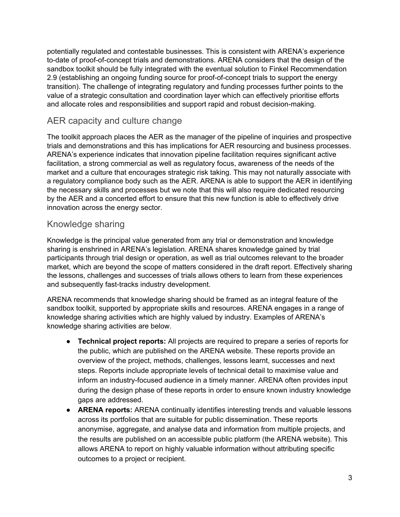potentially regulated and contestable businesses. This is consistent with ARENA's experience to-date of proof-of-concept trials and demonstrations. ARENA considers that the design of the sandbox toolkit should be fully integrated with the eventual solution to Finkel Recommendation 2.9 (establishing an ongoing funding source for proof-of-concept trials to support the energy transition). The challenge of integrating regulatory and funding processes further points to the value of a strategic consultation and coordination layer which can effectively prioritise efforts and allocate roles and responsibilities and support rapid and robust decision-making.

# AER capacity and culture change

The toolkit approach places the AER as the manager of the pipeline of inquiries and prospective trials and demonstrations and this has implications for AER resourcing and business processes. ARENA's experience indicates that innovation pipeline facilitation requires significant active facilitation, a strong commercial as well as regulatory focus, awareness of the needs of the market and a culture that encourages strategic risk taking. This may not naturally associate with a regulatory compliance body such as the AER. ARENA is able to support the AER in identifying the necessary skills and processes but we note that this will also require dedicated resourcing by the AER and a concerted effort to ensure that this new function is able to effectively drive innovation across the energy sector.

# Knowledge sharing

Knowledge is the principal value generated from any trial or demonstration and knowledge sharing is enshrined in ARENA's legislation. ARENA shares knowledge gained by trial participants through trial design or operation, as well as trial outcomes relevant to the broader market, which are beyond the scope of matters considered in the draft report. Effectively sharing the lessons, challenges and successes of trials allows others to learn from these experiences and subsequently fast-tracks industry development.

ARENA recommends that knowledge sharing should be framed as an integral feature of the sandbox toolkit, supported by appropriate skills and resources. ARENA engages in a range of knowledge sharing activities which are highly valued by industry. Examples of ARENA's knowledge sharing activities are below.

- **Technical project reports:** All projects are required to prepare a series of reports for the public, which are published on the ARENA website. These reports provide an overview of the project, methods, challenges, lessons learnt, successes and next steps. Reports include appropriate levels of technical detail to maximise value and inform an industry-focused audience in a timely manner. ARENA often provides input during the design phase of these reports in order to ensure known industry knowledge gaps are addressed.
- **ARENA reports:** ARENA continually identifies interesting trends and valuable lessons across its portfolios that are suitable for public dissemination. These reports anonymise, aggregate, and analyse data and information from multiple projects, and the results are published on an accessible public platform (the ARENA website). This allows ARENA to report on highly valuable information without attributing specific outcomes to a project or recipient.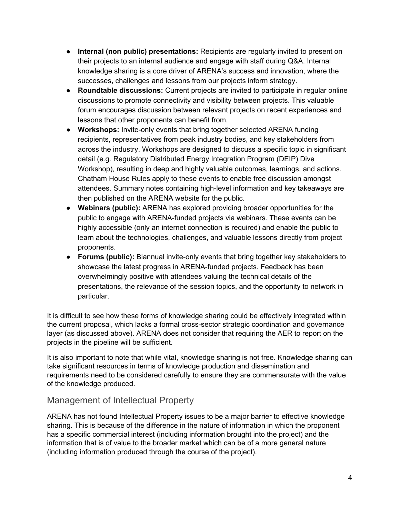- **Internal (non public) presentations:** Recipients are regularly invited to present on their projects to an internal audience and engage with staff during Q&A. Internal knowledge sharing is a core driver of ARENA's success and innovation, where the successes, challenges and lessons from our projects inform strategy.
- **Roundtable discussions:** Current projects are invited to participate in regular online discussions to promote connectivity and visibility between projects. This valuable forum encourages discussion between relevant projects on recent experiences and lessons that other proponents can benefit from.
- **Workshops:** Invite-only events that bring together selected ARENA funding recipients, representatives from peak industry bodies, and key stakeholders from across the industry. Workshops are designed to discuss a specific topic in significant detail (e.g. Regulatory Distributed Energy Integration Program (DEIP) Dive Workshop), resulting in deep and highly valuable outcomes, learnings, and actions. Chatham House Rules apply to these events to enable free discussion amongst attendees. Summary notes containing high-level information and key takeaways are then published on the ARENA website for the public.
- **Webinars (public):** ARENA has explored providing broader opportunities for the public to engage with ARENA-funded projects via webinars. These events can be highly accessible (only an internet connection is required) and enable the public to learn about the technologies, challenges, and valuable lessons directly from project proponents.
- **Forums (public):** Biannual invite-only events that bring together key stakeholders to showcase the latest progress in ARENA-funded projects. Feedback has been overwhelmingly positive with attendees valuing the technical details of the presentations, the relevance of the session topics, and the opportunity to network in particular.

It is difficult to see how these forms of knowledge sharing could be effectively integrated within the current proposal, which lacks a formal cross-sector strategic coordination and governance layer (as discussed above). ARENA does not consider that requiring the AER to report on the projects in the pipeline will be sufficient.

It is also important to note that while vital, knowledge sharing is not free. Knowledge sharing can take significant resources in terms of knowledge production and dissemination and requirements need to be considered carefully to ensure they are commensurate with the value of the knowledge produced.

## Management of Intellectual Property

ARENA has not found Intellectual Property issues to be a major barrier to effective knowledge sharing. This is because of the difference in the nature of information in which the proponent has a specific commercial interest (including information brought into the project) and the information that is of value to the broader market which can be of a more general nature (including information produced through the course of the project).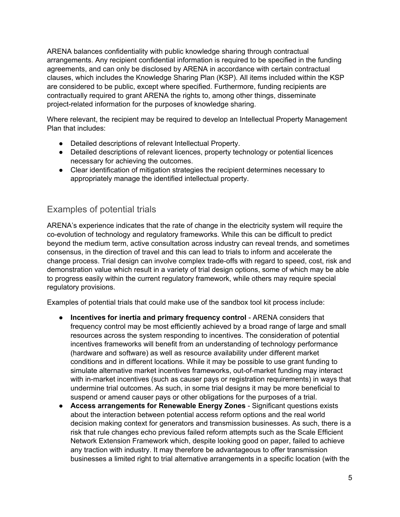ARENA balances confidentiality with public knowledge sharing through contractual arrangements. Any recipient confidential information is required to be specified in the funding agreements, and can only be disclosed by ARENA in accordance with certain contractual clauses, which includes the Knowledge Sharing Plan (KSP). All items included within the KSP are considered to be public, except where specified. Furthermore, funding recipients are contractually required to grant ARENA the rights to, among other things, disseminate project-related information for the purposes of knowledge sharing.

Where relevant, the recipient may be required to develop an Intellectual Property Management Plan that includes:

- Detailed descriptions of relevant Intellectual Property.
- Detailed descriptions of relevant licences, property technology or potential licences necessary for achieving the outcomes.
- Clear identification of mitigation strategies the recipient determines necessary to appropriately manage the identified intellectual property.

# Examples of potential trials

ARENA's experience indicates that the rate of change in the electricity system will require the co-evolution of technology and regulatory frameworks. While this can be difficult to predict beyond the medium term, active consultation across industry can reveal trends, and sometimes consensus, in the direction of travel and this can lead to trials to inform and accelerate the change process. Trial design can involve complex trade-offs with regard to speed, cost, risk and demonstration value which result in a variety of trial design options, some of which may be able to progress easily within the current regulatory framework, while others may require special regulatory provisions.

Examples of potential trials that could make use of the sandbox tool kit process include:

- **Incentives for inertia and primary frequency control** ARENA considers that frequency control may be most efficiently achieved by a broad range of large and small resources across the system responding to incentives. The consideration of potential incentives frameworks will benefit from an understanding of technology performance (hardware and software) as well as resource availability under different market conditions and in different locations. While it may be possible to use grant funding to simulate alternative market incentives frameworks, out-of-market funding may interact with in-market incentives (such as causer pays or registration requirements) in ways that undermine trial outcomes. As such, in some trial designs it may be more beneficial to suspend or amend causer pays or other obligations for the purposes of a trial.
- **Access arrangements for Renewable Energy Zones** Significant questions exists about the interaction between potential access reform options and the real world decision making context for generators and transmission businesses. As such, there is a risk that rule changes echo previous failed reform attempts such as the Scale Efficient Network Extension Framework which, despite looking good on paper, failed to achieve any traction with industry. It may therefore be advantageous to offer transmission businesses a limited right to trial alternative arrangements in a specific location (with the